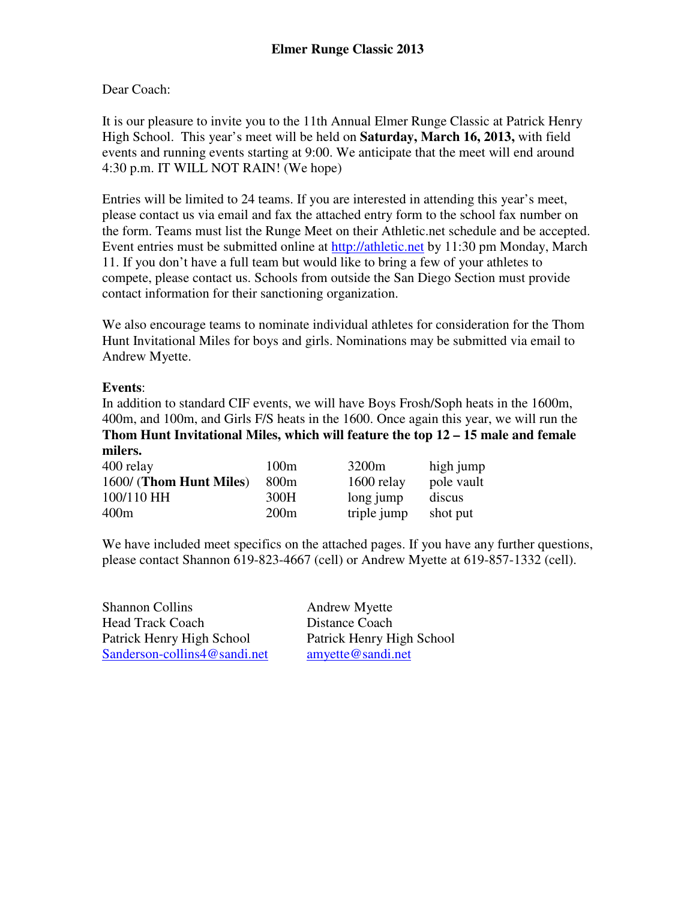## Dear Coach:

It is our pleasure to invite you to the 11th Annual Elmer Runge Classic at Patrick Henry High School. This year's meet will be held on **Saturday, March 16, 2013,** with field events and running events starting at 9:00. We anticipate that the meet will end around 4:30 p.m. IT WILL NOT RAIN! (We hope)

Entries will be limited to 24 teams. If you are interested in attending this year's meet, please contact us via email and fax the attached entry form to the school fax number on the form. Teams must list the Runge Meet on their Athletic.net schedule and be accepted. Event entries must be submitted online at http://athletic.net by 11:30 pm Monday, March 11. If you don't have a full team but would like to bring a few of your athletes to compete, please contact us. Schools from outside the San Diego Section must provide contact information for their sanctioning organization.

We also encourage teams to nominate individual athletes for consideration for the Thom Hunt Invitational Miles for boys and girls. Nominations may be submitted via email to Andrew Myette.

## **Events**:

In addition to standard CIF events, we will have Boys Frosh/Soph heats in the 1600m, 400m, and 100m, and Girls F/S heats in the 1600. Once again this year, we will run the **Thom Hunt Invitational Miles, which will feature the top 12 – 15 male and female milers.** 

| 400 relay               | 100m             | 3200 <sub>m</sub> | high jump  |
|-------------------------|------------------|-------------------|------------|
| 1600/ (Thom Hunt Miles) | 800 <sub>m</sub> | 1600 relay        | pole vault |
| 100/110 HH              | 300H             | long jump         | discus     |
| 400m                    | 200m             | triple jump       | shot put   |

We have included meet specifics on the attached pages. If you have any further questions, please contact Shannon 619-823-4667 (cell) or Andrew Myette at 619-857-1332 (cell).

Shannon Collins Andrew Myette Head Track Coach Distance Coach Patrick Henry High School Patrick Henry High School Sanderson-collins4@sandi.net amyette@sandi.net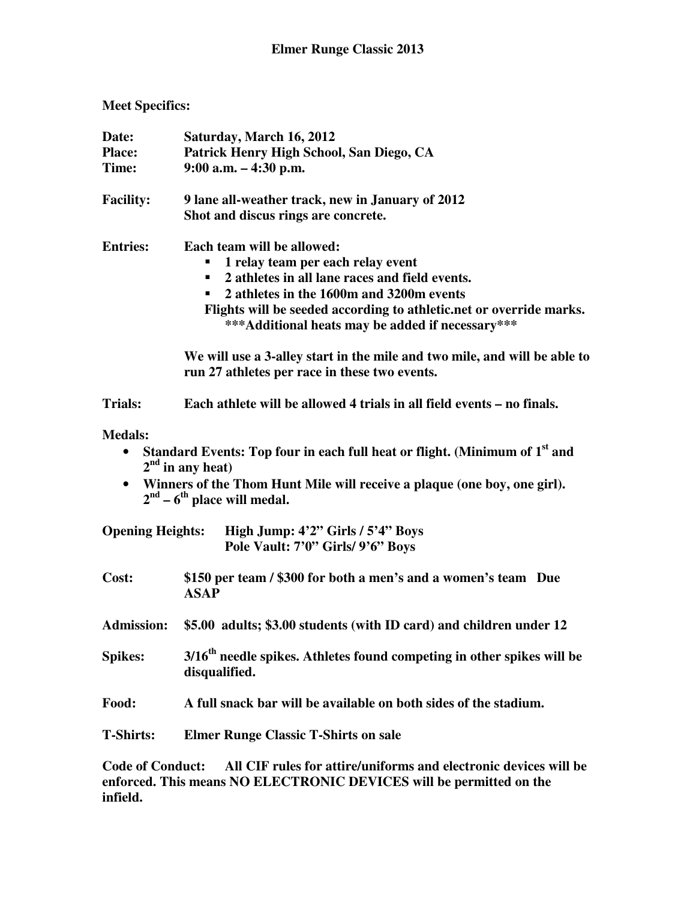## **Meet Specifics:**

| Date:<br><b>Place:</b><br>Time: | Saturday, March 16, 2012<br>Patrick Henry High School, San Diego, CA<br>$9:00$ a.m. $-4:30$ p.m.                                                                                                                                                                                          |  |  |
|---------------------------------|-------------------------------------------------------------------------------------------------------------------------------------------------------------------------------------------------------------------------------------------------------------------------------------------|--|--|
| <b>Facility:</b>                | 9 lane all-weather track, new in January of 2012<br>Shot and discus rings are concrete.                                                                                                                                                                                                   |  |  |
| <b>Entries:</b>                 | Each team will be allowed:<br>1 relay team per each relay event<br>2 athletes in all lane races and field events.<br>2 athletes in the 1600m and 3200m events<br>Flights will be seeded according to athletic.net or override marks.<br>*** Additional heats may be added if necessary*** |  |  |
|                                 | We will use a 3-alley start in the mile and two mile, and will be able to<br>run 27 athletes per race in these two events.                                                                                                                                                                |  |  |
| <b>Trials:</b>                  | Each athlete will be allowed 4 trials in all field events – no finals.                                                                                                                                                                                                                    |  |  |
| <b>Medals:</b><br>$\bullet$     | Standard Events: Top four in each full heat or flight. (Minimum of 1 <sup>st</sup> and<br>$2nd$ in any heat)<br>Winners of the Thom Hunt Mile will receive a plaque (one boy, one girl).<br>$2nd - 6th$ place will medal.                                                                 |  |  |
| <b>Opening Heights:</b>         | High Jump: 4'2" Girls / 5'4" Boys<br>Pole Vault: 7'0" Girls/ 9'6" Boys                                                                                                                                                                                                                    |  |  |
| Cost:                           | \$150 per team / \$300 for both a men's and a women's team Due<br><b>ASAP</b>                                                                                                                                                                                                             |  |  |
| <b>Admission:</b>               | \$5.00 adults; \$3.00 students (with ID card) and children under 12                                                                                                                                                                                                                       |  |  |
| <b>Spikes:</b>                  | 3/16 <sup>th</sup> needle spikes. Athletes found competing in other spikes will be<br>disqualified.                                                                                                                                                                                       |  |  |
| Food:                           | A full snack bar will be available on both sides of the stadium.                                                                                                                                                                                                                          |  |  |
| <b>T-Shirts:</b>                | <b>Elmer Runge Classic T-Shirts on sale</b>                                                                                                                                                                                                                                               |  |  |

**Code of Conduct: All CIF rules for attire/uniforms and electronic devices will be enforced. This means NO ELECTRONIC DEVICES will be permitted on the infield.**